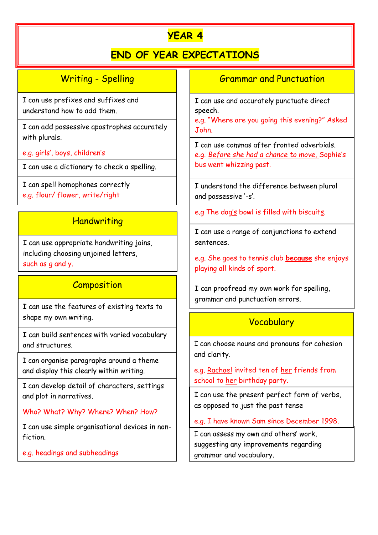# **YEAR 4**

## **END OF YEAR EXPECTATIONS**

Writing - Spelling

I can use prefixes and suffixes and understand how to add them.

I can add possessive apostrophes accurately with plurals.

e.g. girls', boys, children's

I can use a dictionary to check a spelling.

I can spell homophones correctly

e.g. flour/ flower, write/right

### **Handwriting**

I can use appropriate handwriting joins, including choosing unjoined letters, such as g and y.

## **Composition**

I can use the features of existing texts to shape my own writing.

I can build sentences with varied vocabulary and structures.

I can organise paragraphs around a theme and display this clearly within writing.

I can develop detail of characters, settings and plot in narratives.

Who? What? Why? Where? When? How?

I can use simple organisational devices in nonfiction.

e.g. headings and subheadings

#### Grammar and Punctuation

I can use and accurately punctuate direct speech.

e.g. "Where are you going this evening?" Asked John.

I can use commas after fronted adverbials. e.g. *Before she had a chance to move*, Sophie's bus went whizzing past.

I understand the difference between plural and possessive '-s'.

e.g The dog's bowl is filled with biscuits.

I can use a range of conjunctions to extend sentences.

e.g. She goes to tennis club **because** she enjoys playing all kinds of sport.

I can proofread my own work for spelling, grammar and punctuation errors.

## Vocabulary

I can choose nouns and pronouns for cohesion and clarity.

e.g. Rachael invited ten of her friends from school to her birthday party.

I can use the present perfect form of verbs, as opposed to just the past tense

e.g. I have known Sam since December 1998.

I can assess my own and others' work, suggesting any improvements regarding grammar and vocabulary.